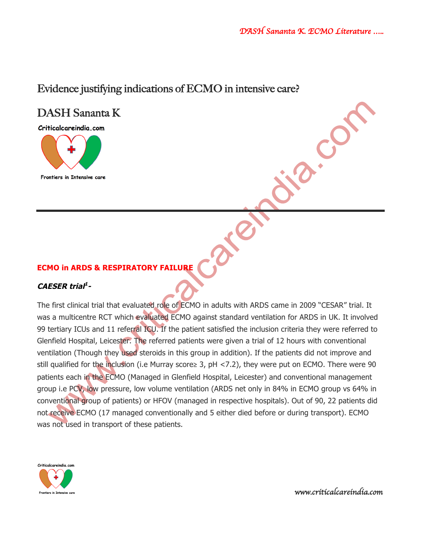$\mathbf{c}^{\mathbf{C}}$ 

# Evidence justifying indications of ECMO in intensive care?

# DASH Sananta K

Criticalcareindia.com



**ECMO in ARDS & RESPIRATORY FAILURE**

# **CAESER trial1 -**

The first clinical trial that evaluated role of ECMO in adults with ARDS came in 2009 "CESAR" trial. It was a multicentre RCT which evaluated ECMO against standard ventilation for ARDS in UK. It involved 99 tertiary ICUs and 11 referral ICU. If the patient satisfied the inclusion criteria they were referred to Glenfield Hospital, Leicester. The referred patients were given a trial of 12 hours with conventional ventilation (Though they used steroids in this group in addition). If the patients did not improve and still qualified for the inclusion (i.e Murray score≥ 3, pH <7.2), they were put on ECMO. There were 90 patients each in the ECMO (Managed in Glenfield Hospital, Leicester) and conventional management group i.e PCV, low pressure, low volume ventilation (ARDS net only in 84% in ECMO group vs 64% in conventional group of patients) or HFOV (managed in respective hospitals). Out of 90, 22 patients did not receive ECMO (17 managed conventionally and 5 either died before or during transport). ECMO was not used in transport of these patients.

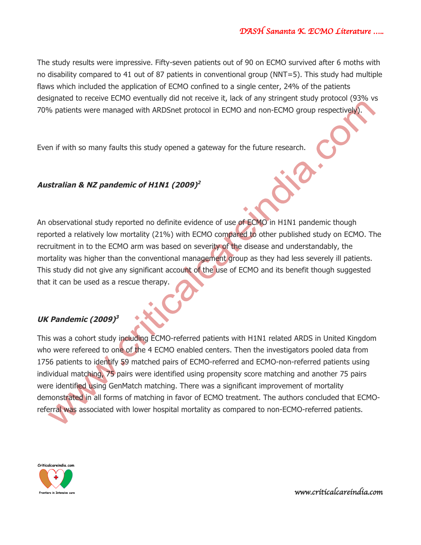The study results were impressive. Fifty-seven patients out of 90 on ECMO survived after 6 moths with no disability compared to 41 out of 87 patients in conventional group (NNT=5). This study had multiple flaws which included the application of ECMO confined to a single center, 24% of the patients designated to receive ECMO eventually did not receive it, lack of any stringent study protocol (93% vs 70% patients were managed with ARDSnet protocol in ECMO and non-ECMO group respectively).

Even if with so many faults this study opened a gateway for the future research.

# **Australian & NZ pandemic of H1N1 (2009)2**

An observational study reported no definite evidence of use of ECMO in H1N1 pandemic though reported a relatively low mortality (21%) with ECMO compared to other published study on ECMO. The recruitment in to the ECMO arm was based on severity of the disease and understandably, the mortality was higher than the conventional management group as they had less severely ill patients. This study did not give any significant account of the use of ECMO and its benefit though suggested that it can be used as a rescue therapy.

# **UK Pandemic (2009)3**

This was a cohort study including ECMO-referred patients with H1N1 related ARDS in United Kingdom who were refereed to one of the 4 ECMO enabled centers. Then the investigators pooled data from 1756 patients to identify 59 matched pairs of ECMO-referred and ECMO-non-referred patients using individual matching, 75 pairs were identified using propensity score matching and another 75 pairs were identified using GenMatch matching. There was a significant improvement of mortality demonstrated in all forms of matching in favor of ECMO treatment. The authors concluded that ECMOreferral was associated with lower hospital mortality as compared to non-ECMO-referred patients.

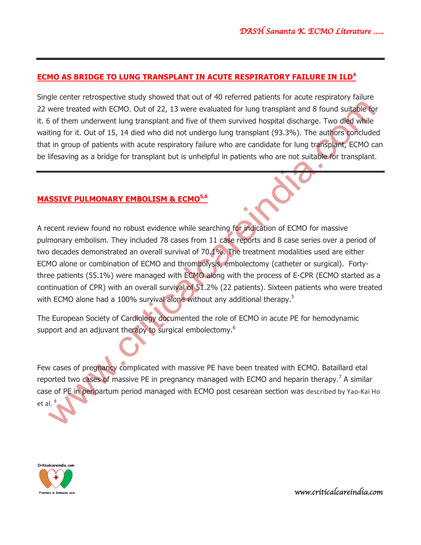# **ECMO AS BRIDGE TO LUNG TRANSPLANT IN ACUTE RESPIRATORY FAILURE IN ILD<sup>4</sup>**

Single center retrospective study showed that out of 40 referred patients for acute respiratory failure 22 were treated with ECMO. Out of 22, 13 were evaluated for lung transplant and 8 found suitable for it. 6 of them underwent lung transplant and five of them survived hospital discharge. Two died while waiting for it. Out of 15, 14 died who did not undergo lung transplant (93.3%). The authors concluded that in group of patients with acute respiratory failure who are candidate for lung transplant, ECMO can be lifesaving as a bridge for transplant but is unhelpful in patients who are not suitable for transplant.

# **MASSIVE PULMONARY EMBOLISM & ECMO5,6**

A recent review found no robust evidence while searching for indication of ECMO for massive pulmonary embolism. They included 78 cases from 11 case reports and 8 case series over a period of two decades demonstrated an overall survival of 70.1%. The treatment modalities used are either ECMO alone or combination of ECMO and thrombolysis, embolectomy (catheter or surgical). Fortythree patients (55.1%) were managed with ECMO along with the process of E-CPR (ECMO started as a continuation of CPR) with an overall survival of 51.2% (22 patients). Sixteen patients who were treated with ECMO alone had a 100% survival alone without any additional therapy.<sup>5</sup>

The European Society of Cardiology documented the role of ECMO in acute PE for hemodynamic support and an adjuvant therapy to surgical embolectomy.<sup>6</sup>

Few cases of pregnancy complicated with massive PE have been treated with ECMO. Bataillard etal reported two cases of massive PE in pregnancy managed with ECMO and heparin therapy.<sup>7</sup> A similar case of PE in peripartum period managed with ECMO post cesarean section was described by Yao-Kai Ho et al.

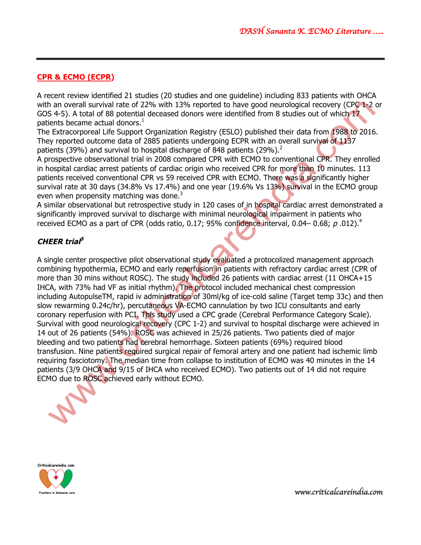# **CPR & ECMO (ECPR)**

A recent review identified 21 studies (20 studies and one guideline) including 833 patients with OHCA with an overall survival rate of 22% with 13% reported to have good neurological recovery (CPC 1-2 or GOS 4-5). A total of 88 potential deceased donors were identified from 8 studies out of which 17 patients became actual donors.<sup>1</sup>

The Extracorporeal Life Support Organization Registry (ESLO) published their data from 1988 to 2016. They reported outcome data of 2885 patients undergoing ECPR with an overall survival of 1137 patients (39%) and survival to hospital discharge of 848 patients (29%).<sup>2</sup>

A prospective observational trial in 2008 compared CPR with ECMO to conventional CPR. They enrolled in hospital cardiac arrest patients of cardiac origin who received CPR for more than 10 minutes. 113 patients received conventional CPR vs 59 received CPR with ECMO. There was a significantly higher survival rate at 30 days (34.8% Vs 17.4%) and one year (19.6% Vs 13%) survival in the ECMO group even when propensity matching was done.<sup>3</sup>

A similar observational but retrospective study in 120 cases of in hospital cardiac arrest demonstrated a significantly improved survival to discharge with minimal neurological impairment in patients who received ECMO as a part of CPR (odds ratio, 0.17; 95% confidence interval, 0.04–0.68;  $p$ .012).<sup>4</sup>

# **CHEER trial5**

A single center prospective pilot observational study evaluated a protocolized management approach combining hypothermia, ECMO and early reperfusion in patients with refractory cardiac arrest (CPR of more than 30 mins without ROSC). The study included 26 patients with cardiac arrest (11 OHCA+15 IHCA, with 73% had VF as initial rhythm). The protocol included mechanical chest compression including AutopulseTM, rapid iv administration of 30ml/kg of ice-cold saline (Target temp 33c) and then slow rewarming 0.24c/hr), percutaneous VA-ECMO cannulation by two ICU consultants and early coronary reperfusion with PCI. This study used a CPC grade (Cerebral Performance Category Scale). Survival with good neurological recovery (CPC 1-2) and survival to hospital discharge were achieved in 14 out of 26 patients (54%). ROSC was achieved in 25/26 patients. Two patients died of major bleeding and two patients had cerebral hemorrhage. Sixteen patients (69%) required blood transfusion. Nine patients required surgical repair of femoral artery and one patient had ischemic limb requiring fasciotomy. The median time from collapse to institution of ECMO was 40 minutes in the 14 patients (3/9 OHCA and 9/15 of IHCA who received ECMO). Two patients out of 14 did not require ECMO due to ROSC achieved early without ECMO.



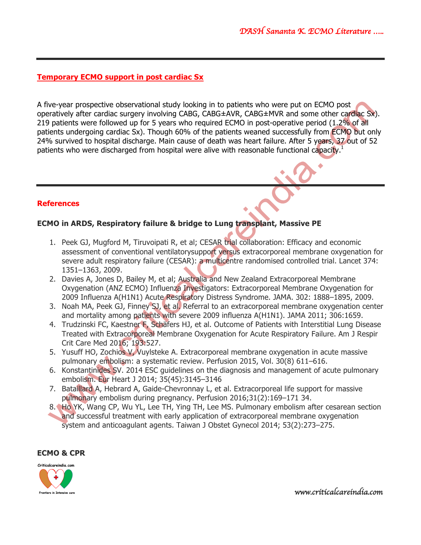# **Temporary ECMO support in post cardiac Sx**

A five-year prospective observational study looking in to patients who were put on ECMO post operatively after cardiac surgery involving CABG, CABG±AVR, CABG±MVR and some other cardiac Sx). 219 patients were followed up for 5 years who required ECMO in post-operative period (1.2% of all patients undergoing cardiac Sx). Though 60% of the patients weaned successfully from ECMO but only 24% survived to hospital discharge. Main cause of death was heart failure. After 5 years, 37 out of 52 patients who were discharged from hospital were alive with reasonable functional capacity.<sup>1</sup>

# **References**

# **ECMO in ARDS, Respiratory failure & bridge to Lung transplant, Massive PE**

- 1. Peek GJ, Mugford M, Tiruvoipati R, et al; CESAR trial collaboration: Efficacy and economic assessment of conventional ventilatorysupport versus extracorporeal membrane oxygenation for severe adult respiratory failure (CESAR): a multicentre randomised controlled trial. Lancet 374: 1351–1363, 2009.
- 2. Davies A, Jones D, Bailey M, et al; Australia and New Zealand Extracorporeal Membrane Oxygenation (ANZ ECMO) Influenza Investigators: Extracorporeal Membrane Oxygenation for 2009 Influenza A(H1N1) Acute Respiratory Distress Syndrome. JAMA. 302: 1888–1895, 2009.
- 3. Noah MA, Peek GJ, Finney SJ, et al. Referral to an extracorporeal membrane oxygenation center and mortality among patients with severe 2009 influenza A(H1N1). JAMA 2011; 306:1659.
- 4. Trudzinski FC, Kaestner F, Schäfers HJ, et al. Outcome of Patients with Interstitial Lung Disease Treated with Extracorporeal Membrane Oxygenation for Acute Respiratory Failure. Am J Respir Crit Care Med 2016; 193:527.
- 5. Yusuff HO, Zochios V, Vuylsteke A. Extracorporeal membrane oxygenation in acute massive pulmonary embolism: a systematic review. Perfusion 2015, Vol. 30(8) 611–616.
- 6. Konstantinides SV. 2014 ESC guidelines on the diagnosis and management of acute pulmonary embolism. Eur Heart J 2014; 35(45):3145–3146
- 7. Bataillard A, Hebrard A, Gaide-Chevronnay L, et al. Extracorporeal life support for massive pulmonary embolism during pregnancy. Perfusion 2016;31(2):169–171 34.
- 8. Ho YK, Wang CP, Wu YL, Lee TH, Ying TH, Lee MS. Pulmonary embolism after cesarean section and successful treatment with early application of extracorporeal membrane oxygenation system and anticoagulant agents. Taiwan J Obstet Gynecol 2014; 53(2):273–275.

#### **ECMO & CPR**